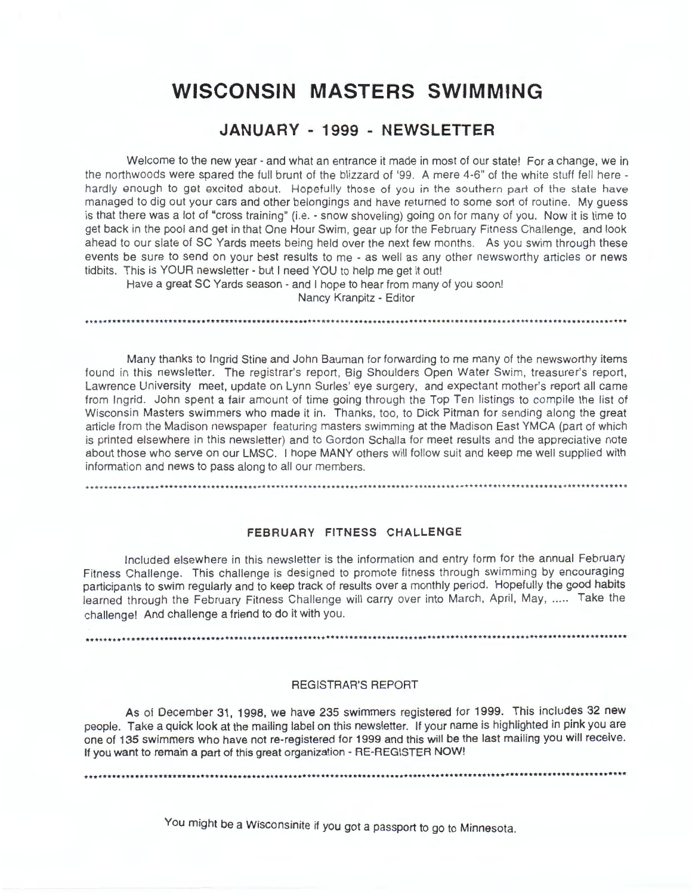# **WISCONSIN MASTERS SWIMMING**

## **JANUARY - 1999 - NEWSLETTER**

Welcome to the new year - and what an entrance it made in most of our state! For a change, we in the northwoods were spared the full brunt of the blizzard of '99. A mere 4-6" of the white stuff fell here hardly enough to get excited about. Hopefully those of you in the southern part of the state have managed to dig out your cars and other belongings and have returned to some sort of routine. My guess is that there was a lot of "cross training" (i.e. - snow shoveling) going on for many of you. Now it is time to get back in the pool and get in that One Hour Swim, gear up for the February Fitness Challenge, and look ahead to our slate of SC Yards meets being held over the next few months. As you swim through these events be sure to send on your best results to me - as well as any other newsworthy articles or news tidbits. This is YOUR newsletter - but I need YOU to help me get it out!

Have a great SC Yards season - and I hope to hear from many of you soon! Nancy Kranpitz - Editor

Many thanks to Ingrid Stine and John Bauman for forwarding to me many of the newsworthy items found in this newsletter. The registrar's report, Big Shoulders Open Water Swim, treasurer's report, Lawrence University meet, update on Lynn Surles' eye surgery, and expectant mother's report all came from Ingrid. John spent a fair amount of time going through the Top Ten listings to compile the list of Wisconsin Masters swimmers who made it in. Thanks, too, to Dick Pitman for sending along the great article from the Madison newspaper featuring masters swimming at the Madison East YMCA (part of which is printed elsewhere in this newsletter) and to Gordon Schalla for meet results and the appreciative note about those who serve on our LMSC. I hope MANY others will follow suit and keep me well supplied with information and news to pass along to all our members.

#### **FEBRUARY FITNESS CHALLENGE**

Included elsewhere in this newsletter is the information and entry form for the annual February Fitness Challenge. This challenge is designed to promote fitness through swimming by encouraging participants to swim regularly and to keep track of results over a monthly period. Hopefully the good habits learned through the February Fitness Challenge will carry over into March, April, May, ..... Take the challenge! And challenge a friend to do it with you.

#### REGISTRAR'S REPORT

As of December 31, 1998, we have 235 swimmers registered for 1999. This includes 32 new people. Take a quick look at the mailing label on this newsletter. If your name is highlighted in pink you are one of 135 swimmers who have not re-registered for 1999 and this will be the last mailing you will receive. If you want to remain a part of this great organization - RE-REGISTER NOW!

You might be a Wisconsinite if you got a passport to go to Minnesota.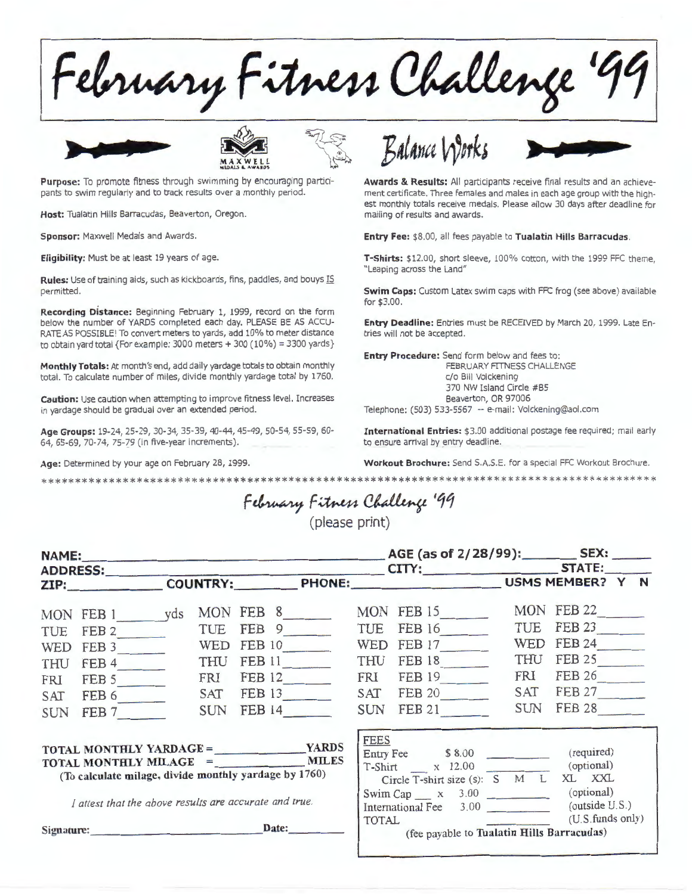February Fitness Challenge **'11** 





pants to swim regularly and to track results over a monthly period.

**Host:** Tualatin Hills Barracudas, Beaverton, Oregon.

Sponsor: Maxwell Medals and Awards.

**Eligibility:** Must be at least 19 years of age.

**Rules:** Use of training aids, such as kickboards, fins, paddles, and bouys IS permitted.

**Recording Distance:** Beginning February 1, 1999, record on the form below the number of YARDS completed each day. PLEASE BE AS ACCU-RATE AS POSSIBLE! To convert meters to yards, add 10% to meter distance to obtain yard total {For example:  $3000$  meters +  $300$  ( $10\%$ ) = 3300 yards}

**Monthly Totals:** At month's end, add daily yardage totals to obtain monthly total. To calculate number of miles, divide monthly yardage total by 1760.

**Caution:** Use caution when attempting to improve fitness level. Increases in yardage should be gradual over an extended period.

**Age Groups:** 19-24, 25-29, 30-34, 35-39, 40-44, 45-49, 50-54, 55-59, 60- 64, 65-69, 70-74, 75-79 (in five-year increments).

**Age:** Determined by your age on February 28, 1999.





**Awards** & **Results:** All participants receive final results and an achievement certificate. Three females and males in each age group with the highest monthly totals receive medals. Please allow 30 days after deadline for mailing of results and awards.

**Entry Fee:** \$8 .00, all fees payable to **Tualatin Hills Barracudas.** 

**T-Shirts:** \$12.00, short sleeve, 100% cotton, with the 1999 FFC theme, "Leaping across the Land"

**Swim Caps:** Custom Latex swim caps with FFC frog (see above) available for \$3.00.

**Entry Deadline:** Entries must be RECEIVED by March 20, 1999. Late Entries will not be accepted.

**Entry Procedure:** Send form below and fees to: FEBRUARY FITNESS CHALLENGE c/o Bill Volckening 370 NW Island Circle #85 Beaverton, OR 97006 Telephone: (503) 533-5567 -- e-mail: Volckening@aol.com

**International Entries:** \$3.00 additional postage fee required; mail early to ensure arrival by entry deadline.

**Workout Brochure:** Send S.A.S.E. for a special FFC Workout Brochure.

February Fitness Challenge '99

\*\*\*\*\*\*\*\*\*\*\*\*\*\*\*\*\*\*\*\*\*\*\*\*\*\*\*\*\*\*\*\*\*\*\*\*\*\*\*\*\*\*\*\*\*\*\*\*\*\*\*\*\*\*\*\*\*\*\*\*\*\*\*\*\*\*\*\*\*\*\*\*\*\*\*\*\*\*\*\*\*\*\*\*\*\*\*\*¥\*

(please print)

| ADDRESS:                                                                      |               |  |            |               |                                  |              |  |                                                                                          |            |                                    |  |  |
|-------------------------------------------------------------------------------|---------------|--|------------|---------------|----------------------------------|--------------|--|------------------------------------------------------------------------------------------|------------|------------------------------------|--|--|
|                                                                               | ZIP:          |  |            |               | COUNTRY: PHONE: USMS MEMBER? Y N |              |  |                                                                                          |            |                                    |  |  |
|                                                                               | MON FEB 1 yds |  |            |               | MON FEB 8                        |              |  | MON FEB 15                                                                               |            | MON FEB 22                         |  |  |
| TUE                                                                           | FEB 2         |  | TUE        | FEB 9         |                                  |              |  | TUE FEB 16                                                                               | TUE        | <b>FEB 23</b>                      |  |  |
| <b>WED</b>                                                                    | FEB 3         |  | <b>WED</b> | <b>FEB 10</b> |                                  | <b>WED</b>   |  | FEB 17                                                                                   | <b>WED</b> | <b>FEB 24</b>                      |  |  |
| <b>THU</b>                                                                    | FEB 4         |  | <b>THU</b> |               | FEB 11                           | THU          |  | FEB 18                                                                                   | THU        | FEB 25                             |  |  |
| <b>FRI</b>                                                                    | FEB 5         |  | FRI        |               | FEB 12                           | FRI          |  | FEB 19                                                                                   | FRI        | FEB 26                             |  |  |
| <b>SAT</b>                                                                    | FEB 6         |  | SAT        |               | FEB 13                           | SAT          |  | FEB 20                                                                                   | SAT        | <b>FEB 27</b>                      |  |  |
| <b>SUN</b>                                                                    | FEB 7         |  | <b>SUN</b> |               | <b>FEB 14</b>                    | SUN          |  | <b>FEB 21</b>                                                                            | <b>SUN</b> | <b>FEB 28</b>                      |  |  |
| (To calculate milage, divide monthly yardage by 1760)                         |               |  |            |               |                                  | <b>FEES</b>  |  | Entry Fee $$8.00$<br>T-Shirt x 12.00 (optional)<br>Circle T-shirt size (s): S M L XL XXL |            | (required)                         |  |  |
| I attest that the above results are accurate and true.<br>Date:<br>Signature: |               |  |            |               |                                  | <b>TOTAL</b> |  | Swim Cap $\_\ x$ 3.00 (optional)<br>International Fee 3.00                               |            | (outside U.S.)<br>(U.S.funds only) |  |  |
|                                                                               |               |  |            |               |                                  |              |  | (fee payable to Tualatin Hills Barracudas)                                               |            |                                    |  |  |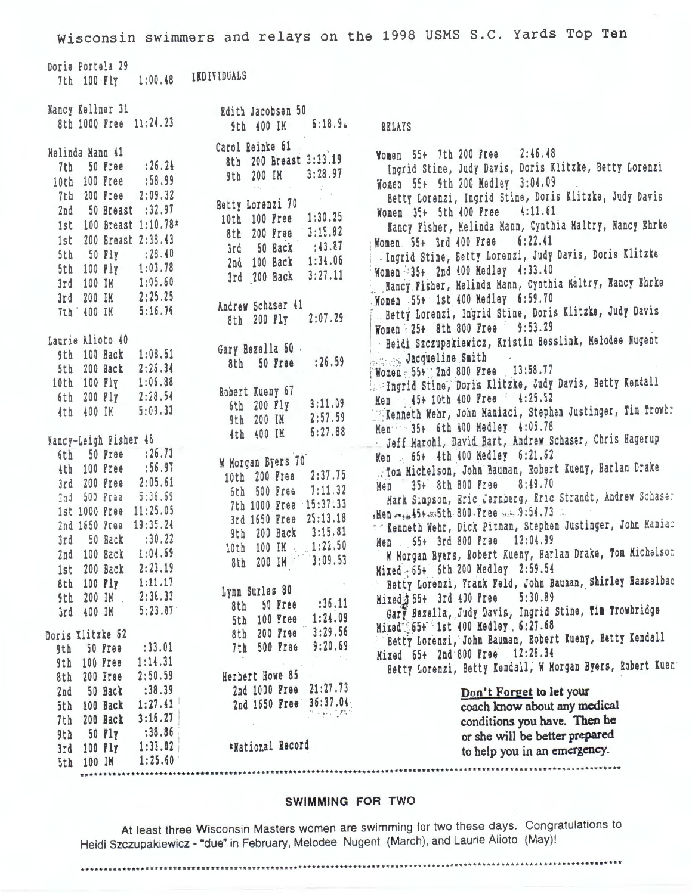Wisconsin swimmers and relays on the 1998 USMS S.C. Yards Top Ten

Doria Portala 29 INDIVIDUALS 7th 100 Fly 1:00.48 Nancy Kellner 31 Edith Jacobsen 50 8th 1000 Free 11:24.23  $6:18.94$ 9th 400 IM **RELAYS** Carol Reinke 61 Melinda Mann 41 Women 55+ 7th 200 Free 2:46.48 8th 200 Breast 3:33.19 7th 50 Free : 26.24 Ingrid Stine, Judy Davis, Doris Klitzke, Betty Lorenzi 9th 200 IM  $3:28.97$ 10th 100 Free :58.99 Women 55+ 9th 200 Medley 3:04.09 7th 200 Free 2:09.32 Betty Lorenzi, Ingrid Stine, Doris Klitzke, Judy Davis Betty Lorenzi 70 2nd 50 Breast :32.97 Women 35+ 5th 400 Free 4:11.61 10th 100 Free 1:30.25 1st 100 Breast 1:10.78\* Hancy Fisher, Melinda Mann, Cynthia Maltry, Nancy Ehrke 8th 200 Free 3:15.82 1st 200 Breast 2:38.43 Women. 55+ 3rd 400 Free 6:22.41  $: 43.87$ 3rd 50 Back 5th 50 Fly : 28.40 - Ingrid Stine, Betty Lorenzi, Judy Davis, Doris Klitzke 2nd 100 Back 1:34.06 5th 100 Fly 1:03.78 Women 35+ 2nd 400 Medley 4:33.40 3rd 200 Back 3:27.11 3rd 100 IM 1:05.60 Nancy Fisher, Melinda Mann, Cynthia Maltry, Nancy Ehrke 3rd 200 IM 2:25.25 Women 55+ 1st 400 Medley 6:59.70 Andrew Schaser 41 Betty Lorenzi, Ingrid Stine, Doris Klitzke, Judy Davis 7th 400 IM 5:16.76 8th 200 Fly 2:07.29 Women 25+ 8th 800 Free 9:53.29 Heidi Szczupakiewicz, Kristin Hesslink, Melodee Nugent Laurie Alioto 40 Gary Bezella 60. 9th 100 Back 1:08.61 Jacqueline Smith  $: 26.59$ 8th 50 Free 5th 200 Back 2:26.34 Women - 55+ 2nd 800 Free 13:58.77 10th 100 Fly 1:06.88 Ingrid Stine, Doris Klitzke, Judy Davis, Betty Kendall Robert Kueny 67 6th 200 Fly 2:28.54 Men 45+ 10th 400 Free 4:25.52  $3:11.09$ 6th 200 Fly Kenneth Wehr, John Maniaci, Stephen Justinger, Tim Trowbr 4th 400 IM  $5:09.33$ 9th 200 IM  $2:57.59$ Men 35+ 6th 400 Medley 4:05.78 4th 400 IM  $6:27.88$ Jeff Marohl, David Bart, Andrew Schaser, Chris Hagerup Nancy-Leigh Fisher 46 6th 50 Free : 26.73 Men . 65+ 4th 400 Medley 6:21.62 W Morgan Byers 70 . Tom Michelson, John Bauman, Robert Kueny, Harlan Drake  $:56.97$ 4th 100 Free 10th 200 Free 2:37.75 3rd 200 Free 2:05.61 Men 35+ 8th 800 Free 8:49.70 6th 500 Free 7:11.32 2nd 500 Free 5:36.69 Mark Simpson, Eric Jernberg, Eric Strandt, Andrew Schase: 7th 1000 Free 15:37:33 1st 1000 Free 11:25.05 Hen men 45+. 35th 800-Free w.s. 9:54.73 3rd 1650 Free 25:13.18 2nd 1650 Free 19:35.24 " Kenneth Wehr, Dick Pitman, Stephen Justinger, John Maniac 9th 200 Back 3:15.81 3rd 50 Back  $: 30.22$ Men 65+ 3rd 800 Free 12:04.99 10th 100 IM 1:22.50 W Morgan Byers, Robert Kueny, Harlan Drake, Tom Michelson 2nd 100 Back 1:04.69 8th 200 IM  $3:09.53$ 1st 200 Back 2:23.19 Mixed - 65+ 6th 200 Medley 2:59.54 Betty Lorenzi, Frank Feld, John Bauman, Shirley Hasselbac 8th 100 Fly 1:11.17 Lynn Surles 80 9th 200 IM 2:36.33 Hixed \$55+ 3rd 400 Free 5:30.89 8th 50 Free : 36.11 Gary Bezella, Judy Davis, Ingrid Stine, fim frowbridge 3rd 400 IM 5:23.07 5th 100 Free 1:24.09 Mixed 65+ 1st 400 Medley 6:27.68 8th 200 Free 3:29.56 Doris Klitzke 62 Betty Lorenzi, John Bauman, Robert Kueny, Betty Kendall 7th 500 Free 9:20.69 9th 50 Free  $: 33.01$ Mixed 65+ 2nd 800 Free 12:26.34 9th 100 Free 1:14.31 Betty Lorenzi, Betty Kendall, W Morgan Byers, Robert Kuen Herbert Howe 85 8th 200 Free 2:50.59 2nd 1000 Free 21:27.73 2nd 50 Back : 38.39 Don't Forget to let your 2nd 1650 Free 36:37.04 5th 100 Back 1:27.41 coach know about any medical is singery 7th 200 Back 3:16.27 conditions you have. Then he 9th 50 Fly :38.86 or she will be better prepared 3rd 100 Fly 1:33.02 \*National Record to help you in an emergency. 5th 100 IM 1:25.60 

#### SWIMMING FOR TWO

At least three Wisconsin Masters women are swimming for two these days. Congratulations to Heidi Szczupakiewicz - "due" in February, Melodee Nugent (March), and Laurie Alioto (May)!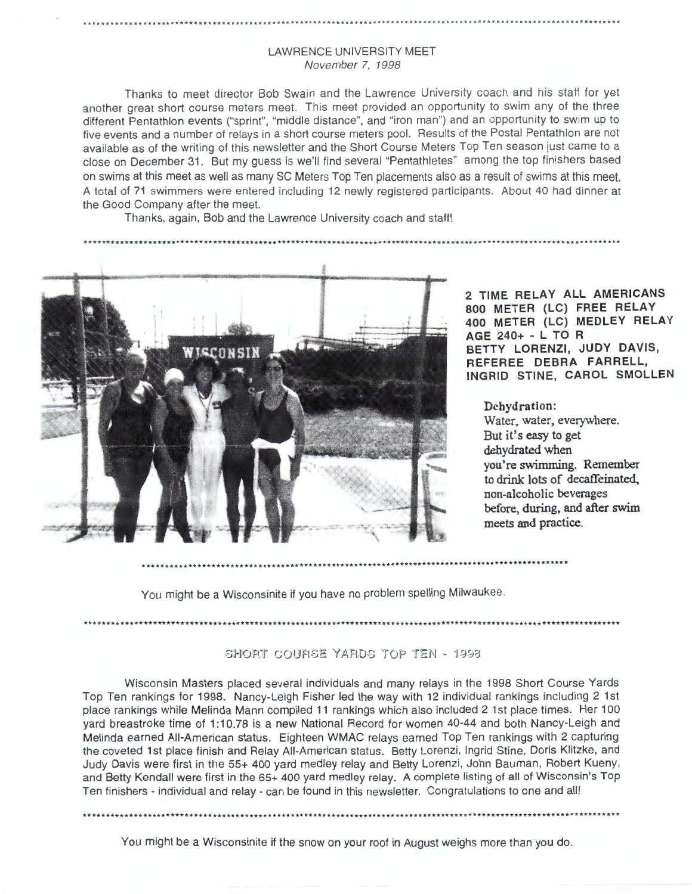#### LAWRENCE UNIVERSITY MEET November 7, 1998

Thanks to meet director Bob Swain and the Lawrence University coach and his staff for yet another great short course meters meet. This meet provided an opportunity to swim any of the three different Pentathlon events ("sprint", "middle distance", and "iron man") and an opportunity to swim up to five events and a number of relays in a short course meters pool. Results of the Postal Pentathlon are not available as of the writing of this newsletter and the Short Course Meters Top Ten season just came to a close on December 31. But my guess is we'll find several "Pentathletes" among the top finishers based on swims at this meet as well as many SC Meters Top Ten placements also as a result of swims at this meet. A total of 71 swimmers were entered including 12 newly registered participants. About 40 had dinner at the Good Company after the meet.

Thanks, again, Bob and the Lawrence University coach and staff!



**2 TIME RELAY ALL AMERICANS 800 METER {LC} FREE RELAY 400 METER {LC} MEDLEY RELAY AGE 240+** - **L TO R BETTY LORENZI, JUDY DAVIS, REFEREE DEBRA FARRELL, INGRID STINE, CAROL SMOLLEN** 

**Dehydration: Water, water, everywhere. But it's easy to get dehydrated when you're swimming. Remember to drink lots of decaffeinated, non-alcoholic beverages before, during, and after swim meets and practice.** 

You might be a Wisconsinite if you have no problem spelling Milwaukee.

SHORT COURSE YARDS TOP TEN - 1998

\*\*\*\*\*\*\*\*\*\*\*\*\*\*\*\*\*\*\*\*\*\*\*\*\*\*\*\*\*\*\*\*\*\*\*\*\*\*\*\*\*\*\*\*\*\*\*\*\*\*\*\*\*\*\*\*\*\*\*\*\*\*\*\*\*\*\*\*\*\*\*\*\*\*\*\*\*\*\*\*\*\*\*\*\*\*\*\*\*\*\*\*\*\*\*\*\*\*\*\*\*\*\*\*\*\*\*\*\*\*\*\*\*\*\*\*\*

Wisconsin Masters placed several individuals and many relays in the 1998 Short Course Yards Top Ten rankings for 1998. Nancy-Leigh Fisher led the way with 12 individual rankings including 2 1st place rankings while Melinda Mann compiled 11 rankings which also included 2 1st place times. Her 100 yard breastroke time of 1:10.78 is a new National Record for women 40-44 and both Nancy-Leigh and Melinda earned All-American status. Eighteen WMAC relays earned Top Ten rankings with 2 capturing the coveted 1st place finish and Relay All-American status. Betty Lorenzi, Ingrid Stine, Doris Klitzke, and Judy Davis were first in the 55+ 400 yard medley relay and Betty Lorenzi, John Bauman, Robert Kueny, and Betty Kendall were first in the 65+ 400 yard medley relay. A complete listing of all of Wisconsin's Top Ten finishers - individual and relay - can be found in this newsletter. Congratulations to one and all!

You might be a Wisconsinite if the snow on your roof in August weighs more than you do.

\*\*\*\*••···············································································································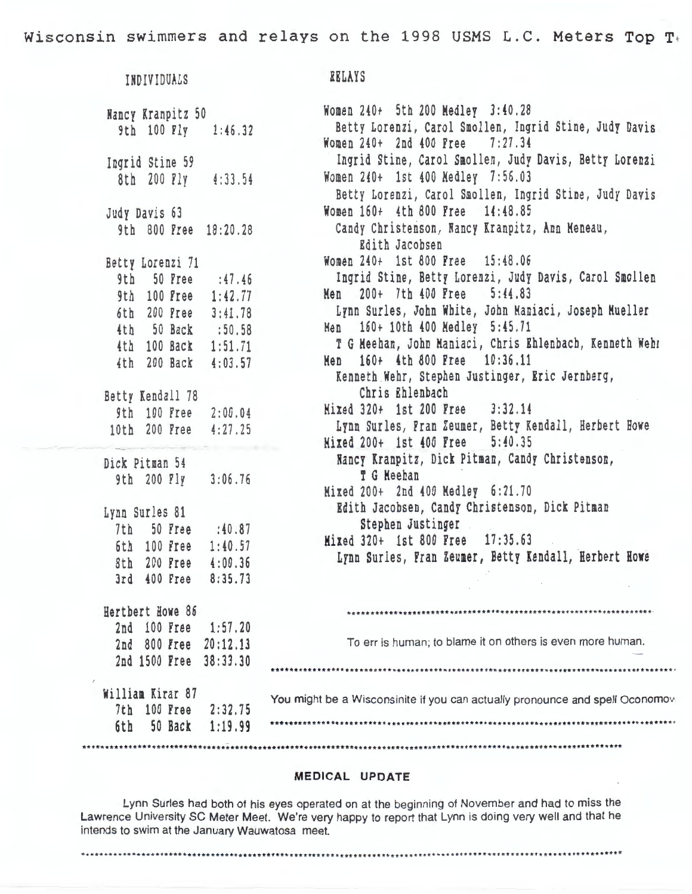Wisconsin swimmers and relays on the 1998 USMS L.C. Meters Top T•

| INDIVIDUALS                | <b>RELAYS</b>                                                                 |
|----------------------------|-------------------------------------------------------------------------------|
| Nancy Kranpitz 50          | Women 240+ 5th 200 Medley 3:40.28                                             |
| 9th 100 Fly 1:46.32        | Betty Lorenzi, Carol Smollen, Ingrid Stine, Judy Davis                        |
|                            | Women 240+ 2nd 400 Free 7:27.34                                               |
| Ingrid Stine 59            | Ingrid Stine, Carol Smollen, Judy Davis, Betty Lorenzi                        |
| 8th 200 Fly 4:33.54        | Women 240+ 1st 400 Medley 7:56.03                                             |
|                            | Betty Lorenzi, Carol Smollen, Ingrid Stine, Judy Davis                        |
| Judy Davis 63              | Women 160+ 4th 800 Free 14:48.85                                              |
|                            | Candy Christenson, Nancy Kranpitz, Ann Meneau,                                |
| 9th 800 Free 18:20.28      | Edith Jacobsen                                                                |
|                            |                                                                               |
| Betty Lorenzi 71           | Women 240+ 1st 800 Free 15:48.06                                              |
| 9th 50 Free : 47.46        | Ingrid Stine, Betty Lorenzi, Judy Davis, Carol Smollen                        |
| 9th 100 Free 1:42.77       | Men 200+ 7th 400 Free 5:44.83                                                 |
| 6th 200 Free<br>3:41.78    | Lynn Surles, John White, John Maniaci, Joseph Mueller                         |
| 4th 50 Back :50.58         | Men 160+ 10th 400 Medley 5:45.71                                              |
| 4th 100 Back 1:51.71       | T G Meehan, John Maniaci, Chris Ehlenbach, Kenneth Wehr                       |
| 4th 200 Back 4:03.57       | Men 160+ 4th 800 Free 10:36.11                                                |
|                            | Kenneth Wehr, Stephen Justinger, Eric Jernberg,                               |
| Betty Kendall 78           | Chris Ehlenbach                                                               |
| 9th 100 Free 2:00.04       | Mixed 320+ 1st 200 Free 3:32.14                                               |
| 10th 200 Free 4:27.25      | Lynn Surles, Fran Zeumer, Betty Kendall, Herbert Howe                         |
|                            | Mixed 200+ 1st 400 Free 5:40.35                                               |
| Dick Pitman 54             | Nancy Kranpitz, Dick Pitman, Candy Christenson,                               |
| 9th 200 Fly 3:06.76        | <b>T G Meehan</b>                                                             |
|                            | Mixed 200+ 2nd 400 Medley 6:21.70                                             |
|                            | Edith Jacobsen, Candy Christenson, Dick Pitman                                |
| Lynn Surles 81             | Stephen Justinger                                                             |
| 7th 50 Free : 40.87        | Mixed 320+ 1st 800 Free 17:35.63                                              |
| 6th 100 Free 1:40.57       | Lynn Surles, Fran Zeumer, Betty Kendall, Herbert Howe                         |
| 8th 200 Free 4:00.36       |                                                                               |
| 400 Free<br>8:35.73<br>3rd |                                                                               |
| Hertbert Howe 86           |                                                                               |
| 2nd 100 Free<br>1:57.20    |                                                                               |
| 2nd 800 Free 20:12.13      | To err is human; to blame it on others is even more human.                    |
| 2nd 1500 Free 38:33.30     |                                                                               |
|                            |                                                                               |
| William Kirar 87           |                                                                               |
| 7th 100 Free<br>2:32.75    | You might be a Wisconsinite if you can actually pronounce and spell Oconomovi |
| 50 Back<br>1:19.99         |                                                                               |
| 6th                        |                                                                               |
|                            |                                                                               |

### **MEDICAL UPDATE**

Lynn Surles had both of his eyes operated on at the beginning of November and had to miss the Lawrence University SC Meter Meet. We're very happy to report that Lynn is doing very well and that he intends to swim at the January Wauwatosa meet.

\*\*\*\*\*\*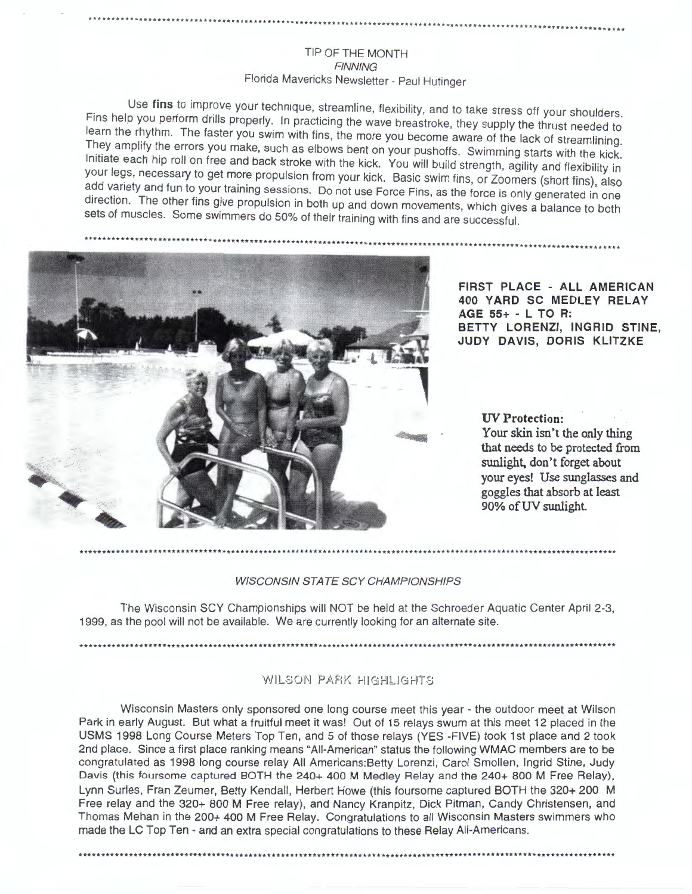#### TIP OF THE MONTH **FINNING** Florida Mavericks Newsletter - Paul Hutinger

Use fins to improve your technique, streamline, flexibility, and to take stress off your shoulders. Fins help you perform drills properly. In practicing the wave breastroke, they supply the thrust needed to learn the rhythm. The faster you swim with fins, the more you become aware of the lack of streamlining. They amplify the errors you make, such as elbows bent on your pushoffs. Swimming starts with the kick. Initiate each hip roll on free and back stroke with the kick. You will build strength, agility and flexibility in your legs, necessary to get more propulsion from your kick. Basic swim fins, or Zoomers (short fins), also add variety and fun to your training sessions. Do not use Force Fins, as the force is only generated in one direction. The other fins give propulsion in both up and down movements, which gives a balance to both sets of muscles. Some swimmers do 50% of their training with fins and are successful.



FIRST PLACE - ALL AMERICAN 400 YARD SC MEDLEY RELAY AGE 55+ - L TO R: BETTY LORENZI, INGRID STINE, JUDY DAVIS, DORIS KLITZKE

> **UV** Protection: Your skin isn't the only thing that needs to be protected from sunlight, don't forget about your eyes! Use sunglasses and goggles that absorb at least 90% of UV sunlight.

#### **WISCONSIN STATE SCY CHAMPIONSHIPS**

The Wisconsin SCY Championships will NOT be held at the Schroeder Aquatic Center April 2-3, 1999, as the pool will not be available. We are currently looking for an alternate site.

WILSON PARK HIGHLIGHTS

Wisconsin Masters only sponsored one long course meet this year - the outdoor meet at Wilson Park in early August. But what a fruitful meet it was! Out of 15 relays swum at this meet 12 placed in the USMS 1998 Long Course Meters Top Ten, and 5 of those relays (YES -FIVE) took 1st place and 2 took 2nd place. Since a first place ranking means "All-American" status the following WMAC members are to be congratulated as 1998 long course relay All Americans: Betty Lorenzi, Carol Smollen, Ingrid Stine, Judy Davis (this foursome captured BOTH the 240+ 400 M Medley Relay and the 240+ 800 M Free Relay), Lynn Surles, Fran Zeumer, Betty Kendall, Herbert Howe (this foursome captured BOTH the 320+ 200 M Free relay and the 320+ 800 M Free relay), and Nancy Kranpitz, Dick Pitman, Candy Christensen, and Thomas Mehan in the 200+ 400 M Free Relay. Congratulations to all Wisconsin Masters swimmers who made the LC Top Ten - and an extra special congratulations to these Relay All-Americans.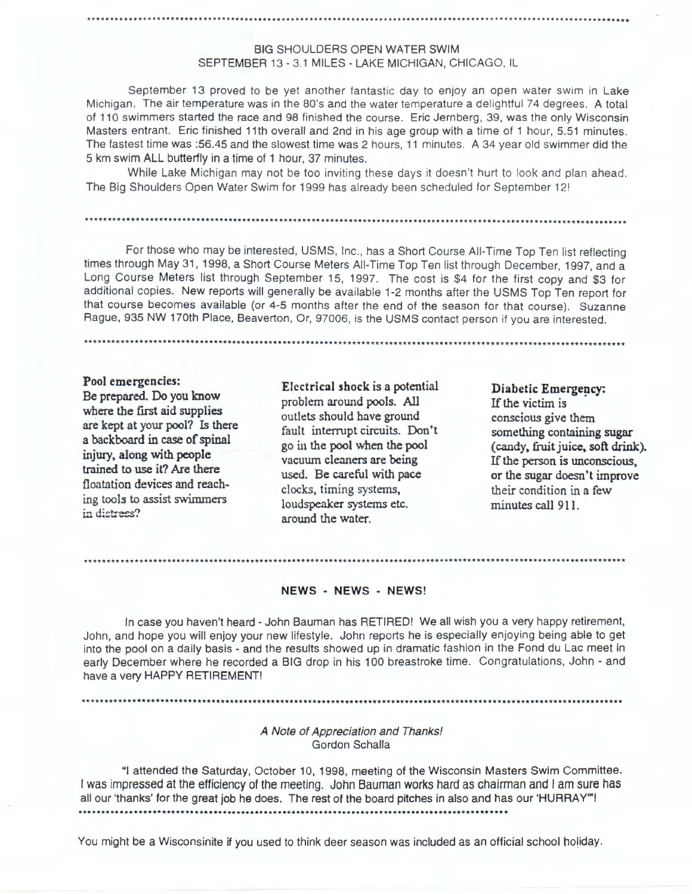#### BIG SHOULDERS OPEN WATER SWIM SEPTEMBER 13 - 3.1 MILES - LAKE MICHIGAN, CHICAGO, IL

September 13 proved to be yet another fantastic day to enjoy an open water swim in Lake Michigan. The air temperature was in the 80's and the water temperature a delightful 74 degrees. A total of 110 swimmers started the race and 98 finished the course. Eric Jernberg, 39, was the only Wisconsin Masters entrant. Eric finished 11th overall and 2nd in his age group with a time of 1 hour, 5.51 minutes. The fastest time was :56.45 and the slowest time was 2 hours, 11 minutes. A 34 year old swimmer did the 5 km swim ALL butterfly in a time of 1 hour, 37 minutes.

While Lake Michigan may not be too inviting these days it doesn't hurt to look and plan ahead. The Big Shoulders Open Water Swim for 1999 has already been scheduled for September 12!

For those who may be interested, USMS, Inc., has a Short Course All-Time Top Ten list reflecting times through May 31, 1998, a Short Course Meters All-Time Top Ten list through December, 1997, and a Long Course Meters list through September 15, 1997. The cost is \$4 for the first copy and \$3 for additional copies. New reports will generally be available 1-2 months after the USMS Top Ten report for that course becomes available (or 4-5 months after the end of the season for that course). Suzanne Rague, 935 **NW** 170th Place, Beaverton, Or, 97006, is the USMS contact person if you are interested.

**Pool emergencies: Be prepared. Do you know where the first aid supplies are kept at your pool?** Is **there a backboard** in **case of spinal injury, along with people trained to use it? Are there**  floatation **devices and reach**ing **tools to assist swimmers**  in distress?

Electrical shock is a potential problem around pools. All outlets should have ground fault interrupt circuits. Don't go in the pool when the pool vacuum cleaners are being used. Be careful with pace clocks, timing systems, loudspeaker systems etc. around the water.

Diabetic Emergency: If the victim is conscious give them something containing sugar (candy, fruit juice, soft drink). If the person is unconscious,

or the sugar doesn't improve their condition in a few minutes call 911.

# ~···················································································································· **NEWS** - **NEWS** - **NEWS!**

In case you haven't heard - John Bauman has RETIRED! We all wish you a very happy retirement, John, and hope you will enjoy your new lifestyle. John reports he is especially enjoying being able to get into the pool on a daily basis - and the results showed up in dramatic fashion in the Fond du Lac meet in early December where he recorded a BIG drop in his 100 breastroke time. Congratulations, John - and have a very HAPPY RETIREMENT!

A Note of Appreciation and Thanks! Gordon Schalla

"I attended the Saturday, October 10, 1998, meeting of the Wisconsin Masters Swim Committee. I was impressed at the efficiency of the meeting. John Bauman works hard as chairman and I am sure has all our 'thanks' for the great job he does. The rest of the board pitches in also and has our 'HURRAY'"! ....•...........•••..•.•..•...•.•.•••••••..........•....•.••••.......•..••......•••••.•......

You might be a Wisconsinite if you used to think deer season was included as an official school holiday.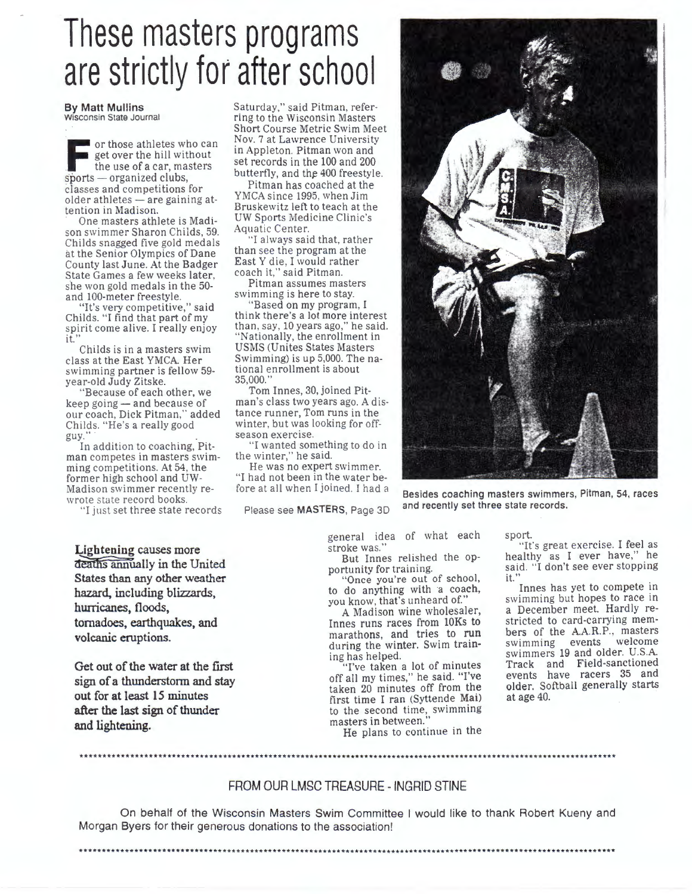# These masters programs are strictly for after school

**By Matt Mullins**  Wisconsin State Journal

or those athletes who can<br>get over the hill without<br>the use of a car, masters<br>sports — organized clubs. get over the hill without the use of a car, masters  $sports$  - organized clubs, classes and competitions for older athletes - are gaining attention in Madison.

One masters athlete is Madison swimmer Sharon Childs, 59. Childs snagged five gold medals at the Senior Olympics of Dane County last June. At the Badger State Games a few weeks later. she won gold medals in the 50-

"It's very competitive," said<br>Childs. "I find that part of my spirit come alive. I really enjoy  $i\tilde{t}$ ."

Childs is in a masters swim class at the East YMCA Her swimming partner is fellow 59 year-old Judy Zitske.

"Because of each other, we keep going - and because of our coach, Dick Pitman," added Childs. "He's a really good guy."<br>In addition to coaching, Pit-

man competes in masters swim-<br>ming competitions. At 54, the former high school and UW-Madison swimmer recently re-<br>wrote state record books.

"I just set three state records

Saturday," said Pitman, referring to the Wisconsin Masters Short Course Metric Swim Meet Nov. 7 at Lawrence University in Appleton. Pitman won and set records in the 100 and 200 butterfly, and the 400 freestyle.

Pitman has coached at the YMCA since 1995, when Jim Bruskewitz left to teach at the UW Sports Medicine Clinic 's Aquatic Center.

"I always said that, rather than see the program at the East Y die. I would rather coach it," said Pitman.

Pitman assumes masters swimming is here to stay.

"Based on my program, I think there's a lot more interest than, say, 10 years ago," he said. "Nationally, the enrollment in USMS (Unites States Masters Swimming) is up 5,000. The national enrollment is about 35,000.''

Tom Innes, 30, joined Pitman's class two years ago. A distance runner, Tom runs in the winter, but was looking for off-<br>season exercise.

"I wanted something to do in the winter," he said.

He was no expert swimmer. "I had not been in the water before at all when I joined. I had a

Please see **MASTERS,** Page 3D

**Besides coaching masters swimmers, Pitman, 54, races and recently set three state records.** 

general idea of what each stroke was." But Innes relished the op-

portunity for training.<br>"Once you're out of school, to do anything with a coach, you know, that's unheard of."

A Madison wine wholesaler, Innes runs races from 10Ks to<br>marathons, and tries to run during the winter. Swim train-

ing has helped. "I've taken a lot of minutes off all my times," he said. "I've taken 20 minutes off from the first time I ran (Syttende Mai) to the second time, swimming masters in between.

He plans to continue in the

sport.

"It's great exercise. I feel as healthy as I ever have," he said. "I don't see ever stopping it.'

Innes has yet to compete in swimming but hopes to race in a December meet. Hardly restricted to card-carrying members of the A.A.R.P., masters swimming events welcome swimmers 19 and older. U.S.A. Track and Field-sanctioned events have racers 35 and older. Softball generally starts at age 40.

**Lightening causes more**  deaths annually in the United **States than any other weather**  hazard, including blizzards, **hurricanes,** floods, tornadoes, earthquakes, and **volcanic eruptions.** 

**Get out of the water at the first sign of a thunderstorm** and stay **out for at least 15 minutes after the last sign of thunder**  and lightening.

FROM OUR LMSC TREASURE - INGRID STINE

\*\*\*\*\*\*\*\*\*\*\*\*\*\*\*\*\*\*\*\*\*\*\*\*\*\*\*\*\*\*\*\*\*\*\*\*\*\*\*\*\*\*\*\*\*\*\*\*\*\*\*\*\*\*\*\*\*\*\*\*\*\*\*\*\*\*\*\*\*\*\*\*\*\*\*\*\*\*\*\*\*\*\*\*\*\*\*\*\*\*\*\*\*\*\*\*\*\*\*\*\*\*\*\*\*\*\*\*\*\*\*\*\*\*\*\*\*

On behalf of the Wisconsin Masters Swim Committee I would like to thank Robert Kueny and Morgan Byers for their generous donations to the association!

\*\*\*\*\*\*\*\*\*\*\*\*\*\*\*\*\*\*\*\*\*\*\*\*\*\*\*\*\*\*\*\*\*\*\*\*\*\*\*\*\*\*\*\*\*\*\*\*\*\*\*\*\*\*\*\*\*\*\* \*\*\*\*\*\*\*\*\*\*\*\* \*\*\*\*\*\* \*\*\*\*\*\*\* \*\*\*\*\*\*\*\*\*\*\*\*\*\*\*\*\*\*\*\*\*\*\*\*\*\*\*\*\*\*\*\*\*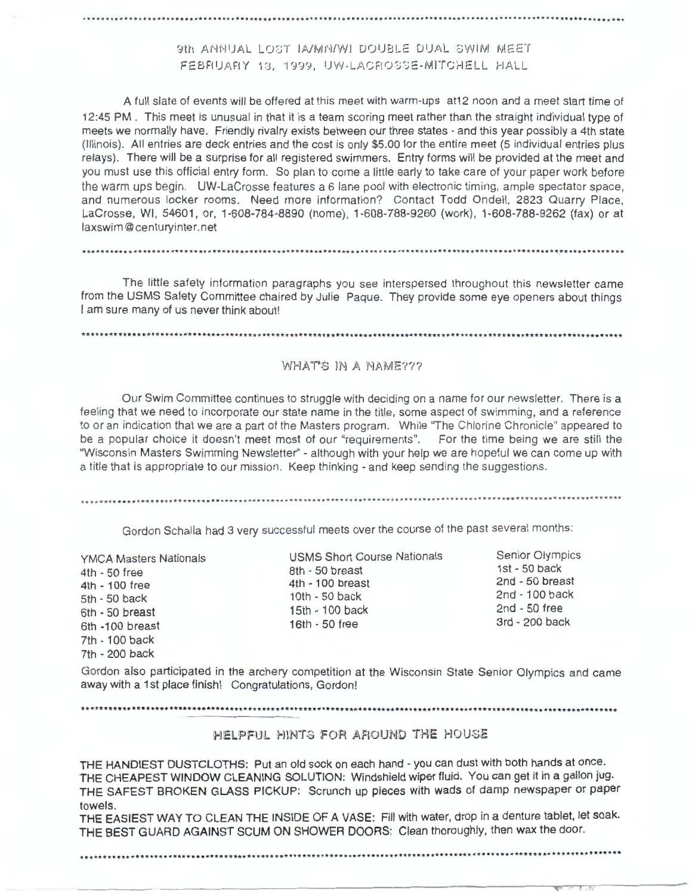### 9th ANNUAL LOST IA/MN/WI DOUBLE DUAL SWIM MEET FEBRUARY 13, 1999, UW-LACROSSE-MITCHELL HALL

A full slate of events will be offered at this meet with warm-ups at12 noon and a meet start time of 12:45 PM . This meet is unusual in that it is a team scoring meet rather than the straight individual type of meets we normally have. Friendly rivalry exists between our three states - and this year possibly a 4th state (Illinois). All entries are deck entries and the cost is only \$5.00 for the entire meet (5 individual entries plus relays). There will be a surprise for all registered swimmers. Entry forms will be provided at the meet and you must use this official entry form. So plan to come a little early to take care of your paper work before the warm ups begin. UW-LaCrosse features a 6 lane pool with electronic timing, ample spectator space, and numerous locker rooms. Need more information? Contact Todd Ondell, 2823 Quarry Place, La Crosse, WI, 54601, or, 1-608-784-8890 (home), 1-608-788-9260 (work), 1-608-788-9262 (fax) or at laxswim@centuryinter.net

The little safety information paragraphs you see interspersed throughout this newsletter came from the USMS Safety Committee chaired by Julie Paque. They provide some eye openers about things I am sure many of us never think about!

#### WHAT'S IN A NAME???

Our Swim Committee continues to struggle with deciding on a name for our newsletter. There is a feeling that we need to incorporate our state name in the title, some aspect of swimming, and a reference to or an indication that we are a part of the Masters program. While "The Chlorine Chronicle" appeared to be a popular choice it doesn't meet most of our "requirements". For the time being we are still the "Wisconsin Masters Swimming Newsletter'' - although with your help we are hopeful we can come up with a title that is appropriate to our mission. Keep thinking - and keep sending the suggestions .

Gordon Schalla had 3 very successful meets over the course of the past several months:

YMCA Masters Nationals 4th - 50 free 4th - 100 free 5th - 50 back 6th - 50 breast 6th -100 breast 7th - 100 back 7th - 200 back

USMS Short Course Nationals 8th - 50 breast 4th - 100 breast 10th - 50 back 15th - 100 back 16th - 50 free

Senior Olympics 1st - 50 back 2nd - 50 breast 2nd - 100 back 2nd - 50 free 3rd - 200 back

Gordon also participated in the archery competition at the Wisconsin State Senior Olympics and came away with a 1st place finish! Congratulations, Gordon!

#### 

HELPFUL HINTS FOR AROUND THE HOUSE

THE HANDIEST DUSTCLOTHS: Put an old sock on each hand - you can dust with both hands at once. THE CHEAPEST **WINDOW** CLEANING SOLUTION: Windshield wiper fluid. You can get it in a gallon jug. THE SAFEST BROKEN GLASS PICKUP: Scrunch up pieces with wads of damp newspaper or paper towels.

THE EASIEST WAY TO CLEAN THE INSIDE OF A VASE: Fill with water, drop in a denture tablet, let soak. THE BEST GUARD AGAINST SCUM ON SHOWER DOORS: Clean thoroughly, then wax the door.